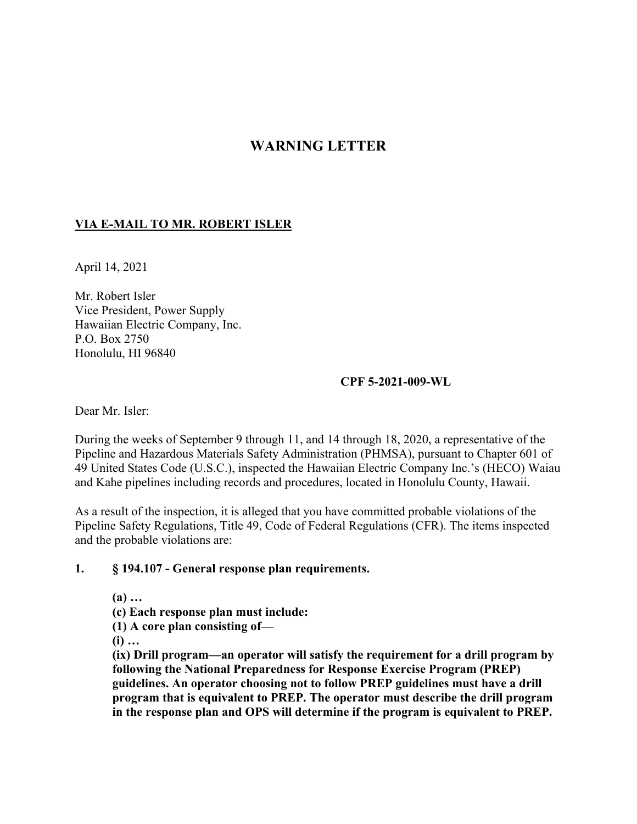# **WARNING LETTER**

#### **VIA E-MAIL TO MR. ROBERT ISLER**

April 14, 2021

Mr. Robert Isler Vice President, Power Supply Hawaiian Electric Company, Inc. P.O. Box 2750 Honolulu, HI 96840

#### **CPF 5-2021-009-WL**

Dear Mr. Isler:

During the weeks of September 9 through 11, and 14 through 18, 2020, a representative of the Pipeline and Hazardous Materials Safety Administration (PHMSA), pursuant to Chapter 601 of 49 United States Code (U.S.C.), inspected the Hawaiian Electric Company Inc.'s (HECO) Waiau and Kahe pipelines including records and procedures, located in Honolulu County, Hawaii.

As a result of the inspection, it is alleged that you have committed probable violations of the Pipeline Safety Regulations, Title 49, Code of Federal Regulations (CFR). The items inspected and the probable violations are:

#### **1. § 194.107 - General response plan requirements.**

 **(a) … (c) Each response plan must include: (1) A core plan consisting of— (i) …** 

**(ix) Drill program—an operator will satisfy the requirement for a drill program by following the National Preparedness for Response Exercise Program (PREP) guidelines. An operator choosing not to follow PREP guidelines must have a drill program that is equivalent to PREP. The operator must describe the drill program in the response plan and OPS will determine if the program is equivalent to PREP.**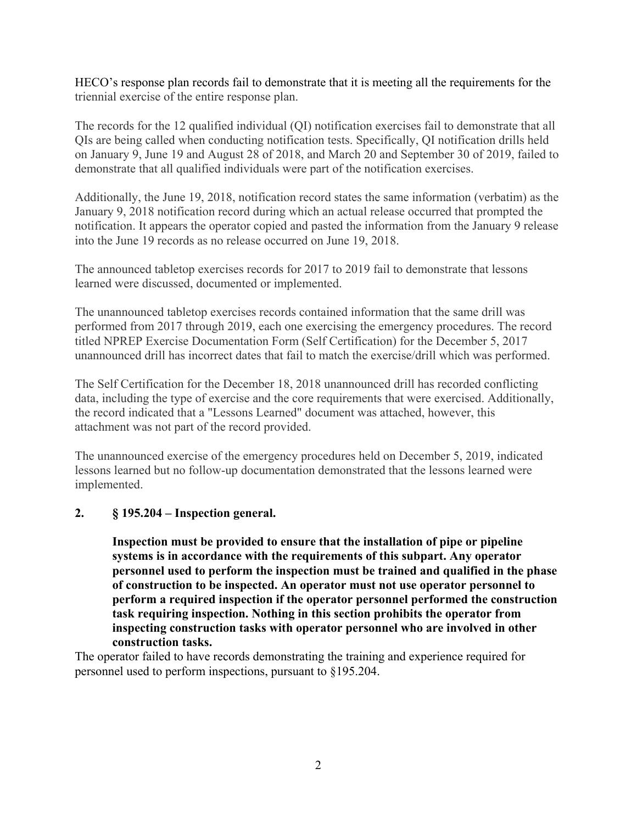HECO's response plan records fail to demonstrate that it is meeting all the requirements for the triennial exercise of the entire response plan.

The records for the 12 qualified individual (QI) notification exercises fail to demonstrate that all QIs are being called when conducting notification tests. Specifically, QI notification drills held on January 9, June 19 and August 28 of 2018, and March 20 and September 30 of 2019, failed to demonstrate that all qualified individuals were part of the notification exercises.

Additionally, the June 19, 2018, notification record states the same information (verbatim) as the January 9, 2018 notification record during which an actual release occurred that prompted the notification. It appears the operator copied and pasted the information from the January 9 release into the June 19 records as no release occurred on June 19, 2018.

The announced tabletop exercises records for 2017 to 2019 fail to demonstrate that lessons learned were discussed, documented or implemented.

The unannounced tabletop exercises records contained information that the same drill was performed from 2017 through 2019, each one exercising the emergency procedures. The record titled NPREP Exercise Documentation Form (Self Certification) for the December 5, 2017 unannounced drill has incorrect dates that fail to match the exercise/drill which was performed.

The Self Certification for the December 18, 2018 unannounced drill has recorded conflicting data, including the type of exercise and the core requirements that were exercised. Additionally, the record indicated that a "Lessons Learned" document was attached, however, this attachment was not part of the record provided.

The unannounced exercise of the emergency procedures held on December 5, 2019, indicated lessons learned but no follow-up documentation demonstrated that the lessons learned were implemented.

### **2. § 195.204 – Inspection general.**

**Inspection must be provided to ensure that the installation of pipe or pipeline systems is in accordance with the requirements of this subpart. Any operator personnel used to perform the inspection must be trained and qualified in the phase of construction to be inspected. An operator must not use operator personnel to perform a required inspection if the operator personnel performed the construction task requiring inspection. Nothing in this section prohibits the operator from inspecting construction tasks with operator personnel who are involved in other construction tasks.** 

The operator failed to have records demonstrating the training and experience required for personnel used to perform inspections, pursuant to §195.204.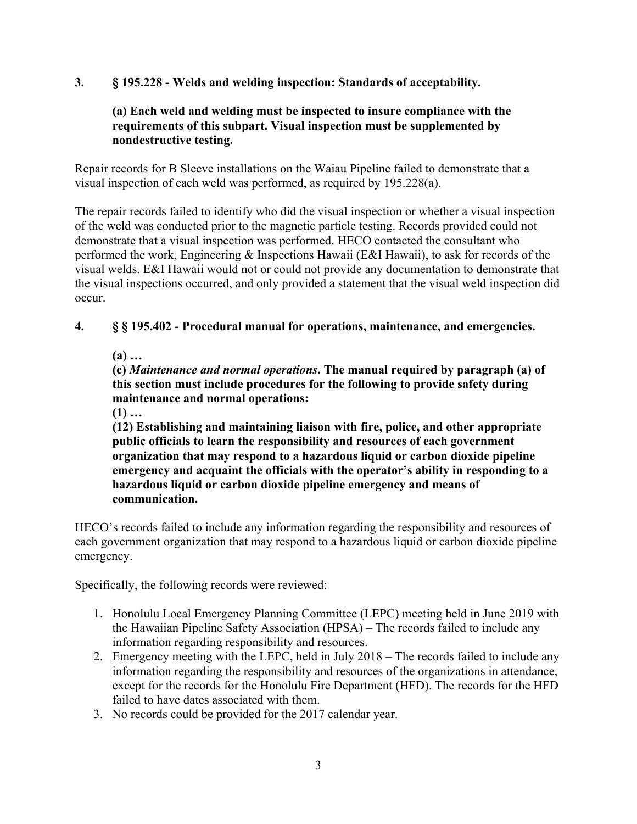# **3. § 195.228 - Welds and welding inspection: Standards of acceptability.**

### **(a) Each weld and welding must be inspected to insure compliance with the requirements of this subpart. Visual inspection must be supplemented by nondestructive testing.**

Repair records for B Sleeve installations on the Waiau Pipeline failed to demonstrate that a visual inspection of each weld was performed, as required by 195.228(a).

The repair records failed to identify who did the visual inspection or whether a visual inspection of the weld was conducted prior to the magnetic particle testing. Records provided could not demonstrate that a visual inspection was performed. HECO contacted the consultant who performed the work, Engineering & Inspections Hawaii (E&I Hawaii), to ask for records of the visual welds. E&I Hawaii would not or could not provide any documentation to demonstrate that the visual inspections occurred, and only provided a statement that the visual weld inspection did occur.

**4. § § 195.402 - Procedural manual for operations, maintenance, and emergencies.**

 **(a) …**

 **(c)** *Maintenance and normal operations***. The manual required by paragraph (a) of this section must include procedures for the following to provide safety during maintenance and normal operations:**

 $(1)$  ...

**(12) Establishing and maintaining liaison with fire, police, and other appropriate public officials to learn the responsibility and resources of each government organization that may respond to a hazardous liquid or carbon dioxide pipeline emergency and acquaint the officials with the operator's ability in responding to a hazardous liquid or carbon dioxide pipeline emergency and means of communication.** 

HECO's records failed to include any information regarding the responsibility and resources of each government organization that may respond to a hazardous liquid or carbon dioxide pipeline emergency.

Specifically, the following records were reviewed:

- 1. Honolulu Local Emergency Planning Committee (LEPC) meeting held in June 2019 with the Hawaiian Pipeline Safety Association (HPSA) – The records failed to include any information regarding responsibility and resources.
- 2. Emergency meeting with the LEPC, held in July 2018 The records failed to include any information regarding the responsibility and resources of the organizations in attendance, except for the records for the Honolulu Fire Department (HFD). The records for the HFD failed to have dates associated with them.
- 3. No records could be provided for the 2017 calendar year.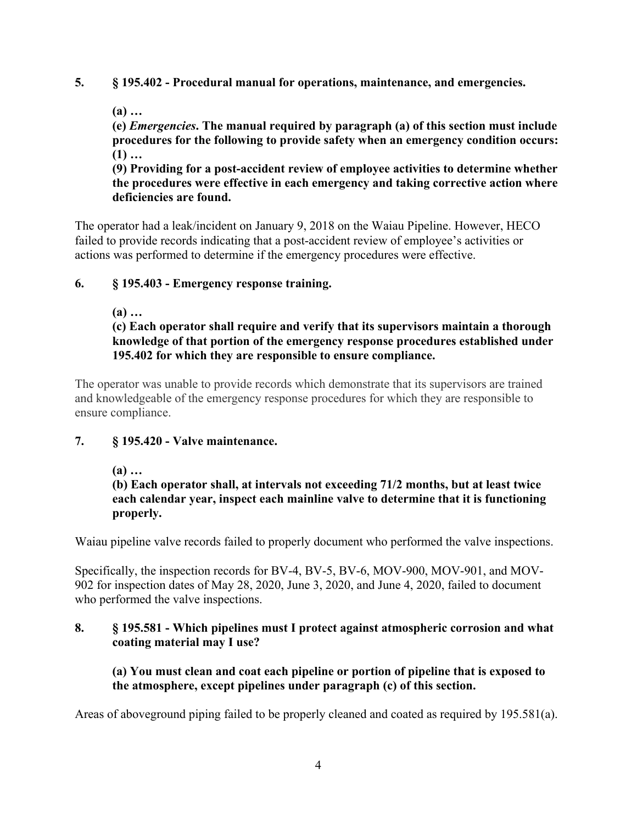### **5. § 195.402 - Procedural manual for operations, maintenance, and emergencies.**

 **(a) …**

 **(e)** *Emergencies***. The manual required by paragraph (a) of this section must include procedures for the following to provide safety when an emergency condition occurs:**  $(1)$  ...

**(9) Providing for a post-accident review of employee activities to determine whether the procedures were effective in each emergency and taking corrective action where deficiencies are found.** 

The operator had a leak/incident on January 9, 2018 on the Waiau Pipeline. However, HECO failed to provide records indicating that a post-accident review of employee's activities or actions was performed to determine if the emergency procedures were effective.

### **6. § 195.403 - Emergency response training.**

 **(a) …** 

**(c) Each operator shall require and verify that its supervisors maintain a thorough knowledge of that portion of the emergency response procedures established under 195.402 for which they are responsible to ensure compliance.** 

The operator was unable to provide records which demonstrate that its supervisors are trained and knowledgeable of the emergency response procedures for which they are responsible to ensure compliance.

### **7. § 195.420 - Valve maintenance.**

### **(a) …**

**(b) Each operator shall, at intervals not exceeding 71/2 months, but at least twice each calendar year, inspect each mainline valve to determine that it is functioning properly.** 

Waiau pipeline valve records failed to properly document who performed the valve inspections.

Specifically, the inspection records for BV-4, BV-5, BV-6, MOV-900, MOV-901, and MOV-902 for inspection dates of May 28, 2020, June 3, 2020, and June 4, 2020, failed to document who performed the valve inspections.

### **8. § 195.581 - Which pipelines must I protect against atmospheric corrosion and what coating material may I use?**

**(a) You must clean and coat each pipeline or portion of pipeline that is exposed to the atmosphere, except pipelines under paragraph (c) of this section.** 

Areas of aboveground piping failed to be properly cleaned and coated as required by 195.581(a).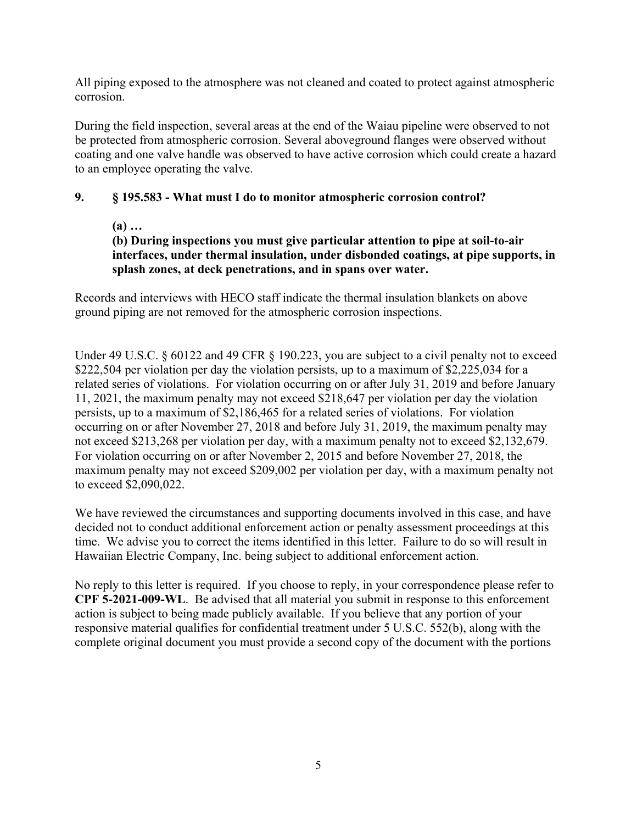All piping exposed to the atmosphere was not cleaned and coated to protect against atmospheric corrosion.

During the field inspection, several areas at the end of the Waiau pipeline were observed to not be protected from atmospheric corrosion. Several aboveground flanges were observed without coating and one valve handle was observed to have active corrosion which could create a hazard to an employee operating the valve.

### **9. § 195.583 - What must I do to monitor atmospheric corrosion control?**

# **(a) …**

# **(b) During inspections you must give particular attention to pipe at soil-to-air interfaces, under thermal insulation, under disbonded coatings, at pipe supports, in splash zones, at deck penetrations, and in spans over water.**

Records and interviews with HECO staff indicate the thermal insulation blankets on above ground piping are not removed for the atmospheric corrosion inspections.

Under 49 U.S.C. § 60122 and 49 CFR § 190.223, you are subject to a civil penalty not to exceed \$222,504 per violation per day the violation persists, up to a maximum of \$2,225,034 for a related series of violations. For violation occurring on or after July 31, 2019 and before January 11, 2021, the maximum penalty may not exceed \$218,647 per violation per day the violation persists, up to a maximum of \$2,186,465 for a related series of violations. For violation occurring on or after November 27, 2018 and before July 31, 2019, the maximum penalty may not exceed \$213,268 per violation per day, with a maximum penalty not to exceed \$2,132,679. For violation occurring on or after November 2, 2015 and before November 27, 2018, the maximum penalty may not exceed \$209,002 per violation per day, with a maximum penalty not to exceed \$2,090,022.

We have reviewed the circumstances and supporting documents involved in this case, and have decided not to conduct additional enforcement action or penalty assessment proceedings at this time. We advise you to correct the items identified in this letter. Failure to do so will result in Hawaiian Electric Company, Inc. being subject to additional enforcement action.

No reply to this letter is required. If you choose to reply, in your correspondence please refer to **CPF 5-2021-009-WL**. Be advised that all material you submit in response to this enforcement action is subject to being made publicly available. If you believe that any portion of your responsive material qualifies for confidential treatment under 5 U.S.C. 552(b), along with the complete original document you must provide a second copy of the document with the portions